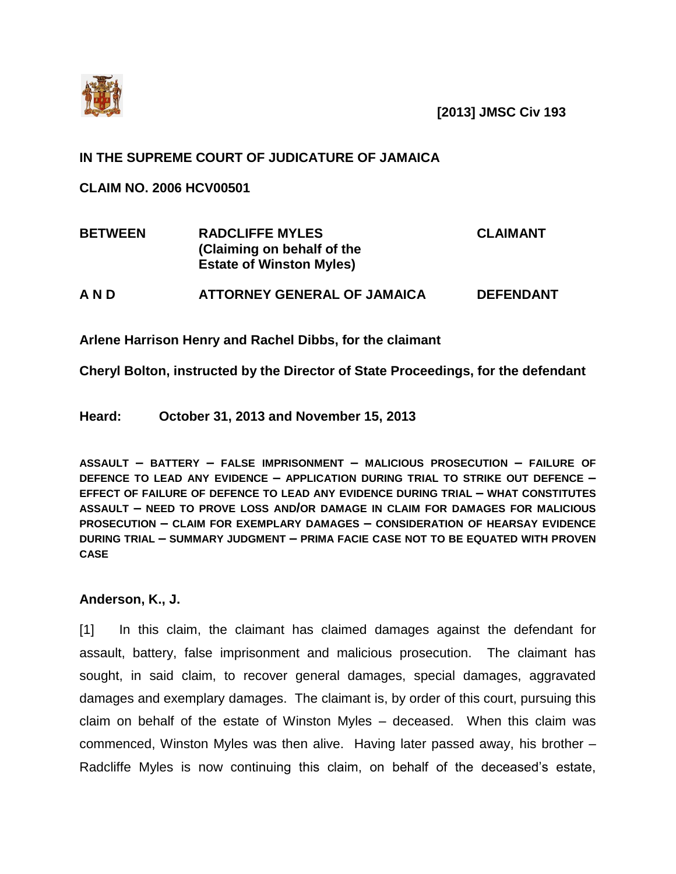

**[2013] JMSC Civ 193**

## **IN THE SUPREME COURT OF JUDICATURE OF JAMAICA**

**CLAIM NO. 2006 HCV00501**

| <b>BETWEEN</b> | <b>RADCLIFFE MYLES</b><br>(Claiming on behalf of the<br><b>Estate of Winston Myles)</b> | <b>CLAIMANT</b>  |
|----------------|-----------------------------------------------------------------------------------------|------------------|
| A N D          | <b>ATTORNEY GENERAL OF JAMAICA</b>                                                      | <b>DEFENDANT</b> |

**Arlene Harrison Henry and Rachel Dibbs, for the claimant**

**Cheryl Bolton, instructed by the Director of State Proceedings, for the defendant**

**Heard: October 31, 2013 and November 15, 2013**

**ASSAULT – BATTERY – FALSE IMPRISONMENT – MALICIOUS PROSECUTION – FAILURE OF DEFENCE TO LEAD ANY EVIDENCE – APPLICATION DURING TRIAL TO STRIKE OUT DEFENCE – EFFECT OF FAILURE OF DEFENCE TO LEAD ANY EVIDENCE DURING TRIAL – WHAT CONSTITUTES ASSAULT – NEED TO PROVE LOSS AND/OR DAMAGE IN CLAIM FOR DAMAGES FOR MALICIOUS PROSECUTION – CLAIM FOR EXEMPLARY DAMAGES – CONSIDERATION OF HEARSAY EVIDENCE DURING TRIAL – SUMMARY JUDGMENT – PRIMA FACIE CASE NOT TO BE EQUATED WITH PROVEN CASE**

## **Anderson, K., J.**

[1] In this claim, the claimant has claimed damages against the defendant for assault, battery, false imprisonment and malicious prosecution. The claimant has sought, in said claim, to recover general damages, special damages, aggravated damages and exemplary damages. The claimant is, by order of this court, pursuing this claim on behalf of the estate of Winston Myles – deceased. When this claim was commenced, Winston Myles was then alive. Having later passed away, his brother – Radcliffe Myles is now continuing this claim, on behalf of the deceased's estate,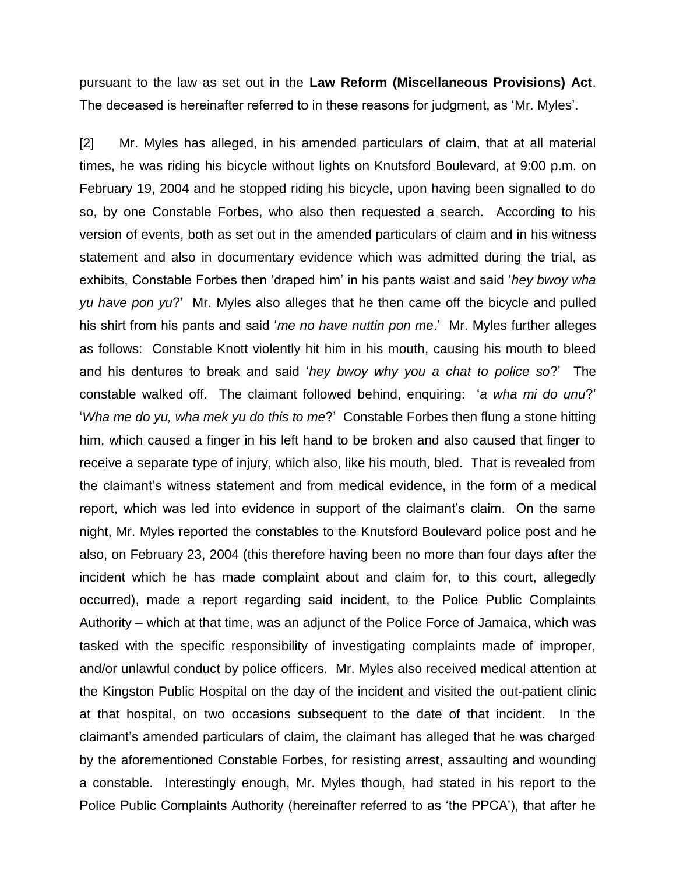pursuant to the law as set out in the **Law Reform (Miscellaneous Provisions) Act**. The deceased is hereinafter referred to in these reasons for judgment, as 'Mr. Myles'.

[2] Mr. Myles has alleged, in his amended particulars of claim, that at all material times, he was riding his bicycle without lights on Knutsford Boulevard, at 9:00 p.m. on February 19, 2004 and he stopped riding his bicycle, upon having been signalled to do so, by one Constable Forbes, who also then requested a search. According to his version of events, both as set out in the amended particulars of claim and in his witness statement and also in documentary evidence which was admitted during the trial, as exhibits, Constable Forbes then 'draped him' in his pants waist and said '*hey bwoy wha yu have pon yu*?' Mr. Myles also alleges that he then came off the bicycle and pulled his shirt from his pants and said '*me no have nuttin pon me*.' Mr. Myles further alleges as follows: Constable Knott violently hit him in his mouth, causing his mouth to bleed and his dentures to break and said '*hey bwoy why you a chat to police so*?' The constable walked off. The claimant followed behind, enquiring: '*a wha mi do unu*?' '*Wha me do yu, wha mek yu do this to me*?' Constable Forbes then flung a stone hitting him, which caused a finger in his left hand to be broken and also caused that finger to receive a separate type of injury, which also, like his mouth, bled. That is revealed from the claimant's witness statement and from medical evidence, in the form of a medical report, which was led into evidence in support of the claimant's claim. On the same night, Mr. Myles reported the constables to the Knutsford Boulevard police post and he also, on February 23, 2004 (this therefore having been no more than four days after the incident which he has made complaint about and claim for, to this court, allegedly occurred), made a report regarding said incident, to the Police Public Complaints Authority – which at that time, was an adjunct of the Police Force of Jamaica, which was tasked with the specific responsibility of investigating complaints made of improper, and/or unlawful conduct by police officers. Mr. Myles also received medical attention at the Kingston Public Hospital on the day of the incident and visited the out-patient clinic at that hospital, on two occasions subsequent to the date of that incident. In the claimant's amended particulars of claim, the claimant has alleged that he was charged by the aforementioned Constable Forbes, for resisting arrest, assaulting and wounding a constable. Interestingly enough, Mr. Myles though, had stated in his report to the Police Public Complaints Authority (hereinafter referred to as 'the PPCA'), that after he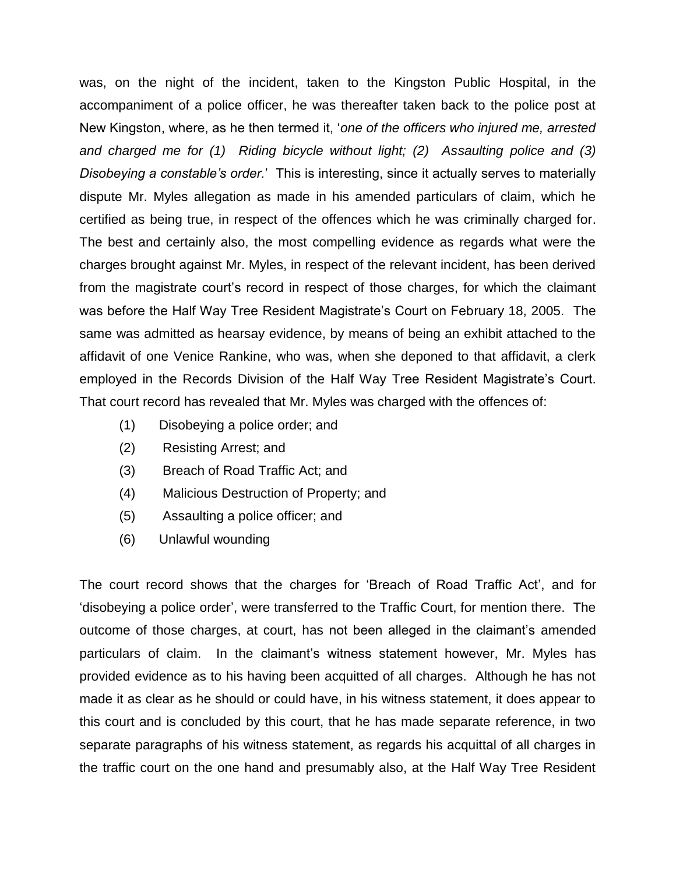was, on the night of the incident, taken to the Kingston Public Hospital, in the accompaniment of a police officer, he was thereafter taken back to the police post at New Kingston, where, as he then termed it, '*one of the officers who injured me, arrested and charged me for (1) Riding bicycle without light; (2) Assaulting police and (3) Disobeying a constable's order.*' This is interesting, since it actually serves to materially dispute Mr. Myles allegation as made in his amended particulars of claim, which he certified as being true, in respect of the offences which he was criminally charged for. The best and certainly also, the most compelling evidence as regards what were the charges brought against Mr. Myles, in respect of the relevant incident, has been derived from the magistrate court's record in respect of those charges, for which the claimant was before the Half Way Tree Resident Magistrate's Court on February 18, 2005. The same was admitted as hearsay evidence, by means of being an exhibit attached to the affidavit of one Venice Rankine, who was, when she deponed to that affidavit, a clerk employed in the Records Division of the Half Way Tree Resident Magistrate's Court. That court record has revealed that Mr. Myles was charged with the offences of:

- (1) Disobeying a police order; and
- (2) Resisting Arrest; and
- (3) Breach of Road Traffic Act; and
- (4) Malicious Destruction of Property; and
- (5) Assaulting a police officer; and
- (6) Unlawful wounding

The court record shows that the charges for 'Breach of Road Traffic Act', and for 'disobeying a police order', were transferred to the Traffic Court, for mention there. The outcome of those charges, at court, has not been alleged in the claimant's amended particulars of claim. In the claimant's witness statement however, Mr. Myles has provided evidence as to his having been acquitted of all charges. Although he has not made it as clear as he should or could have, in his witness statement, it does appear to this court and is concluded by this court, that he has made separate reference, in two separate paragraphs of his witness statement, as regards his acquittal of all charges in the traffic court on the one hand and presumably also, at the Half Way Tree Resident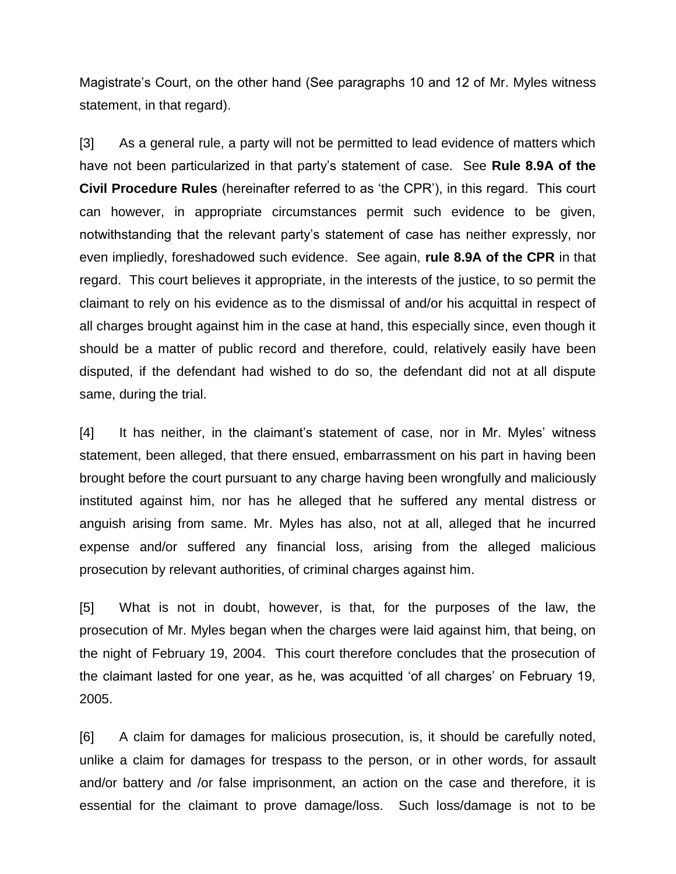Magistrate's Court, on the other hand (See paragraphs 10 and 12 of Mr. Myles witness statement, in that regard).

[3] As a general rule, a party will not be permitted to lead evidence of matters which have not been particularized in that party's statement of case. See **Rule 8.9A of the Civil Procedure Rules** (hereinafter referred to as 'the CPR'), in this regard. This court can however, in appropriate circumstances permit such evidence to be given, notwithstanding that the relevant party's statement of case has neither expressly, nor even impliedly, foreshadowed such evidence. See again, **rule 8.9A of the CPR** in that regard. This court believes it appropriate, in the interests of the justice, to so permit the claimant to rely on his evidence as to the dismissal of and/or his acquittal in respect of all charges brought against him in the case at hand, this especially since, even though it should be a matter of public record and therefore, could, relatively easily have been disputed, if the defendant had wished to do so, the defendant did not at all dispute same, during the trial.

[4] It has neither, in the claimant's statement of case, nor in Mr. Myles' witness statement, been alleged, that there ensued, embarrassment on his part in having been brought before the court pursuant to any charge having been wrongfully and maliciously instituted against him, nor has he alleged that he suffered any mental distress or anguish arising from same. Mr. Myles has also, not at all, alleged that he incurred expense and/or suffered any financial loss, arising from the alleged malicious prosecution by relevant authorities, of criminal charges against him.

[5] What is not in doubt, however, is that, for the purposes of the law, the prosecution of Mr. Myles began when the charges were laid against him, that being, on the night of February 19, 2004. This court therefore concludes that the prosecution of the claimant lasted for one year, as he, was acquitted 'of all charges' on February 19, 2005.

[6] A claim for damages for malicious prosecution, is, it should be carefully noted, unlike a claim for damages for trespass to the person, or in other words, for assault and/or battery and /or false imprisonment, an action on the case and therefore, it is essential for the claimant to prove damage/loss. Such loss/damage is not to be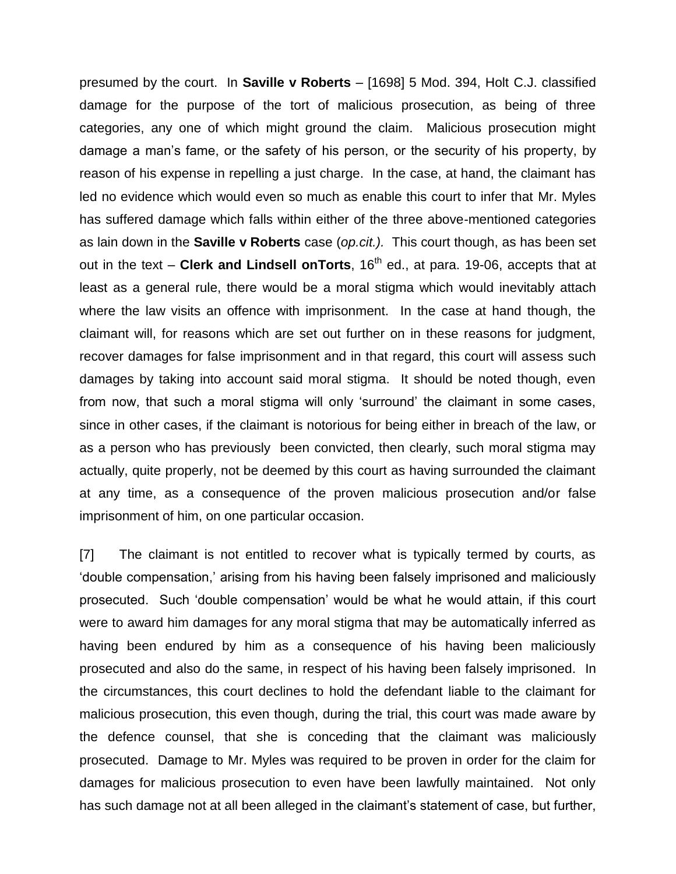presumed by the court. In **Saville v Roberts** – [1698] 5 Mod. 394, Holt C.J. classified damage for the purpose of the tort of malicious prosecution, as being of three categories, any one of which might ground the claim. Malicious prosecution might damage a man's fame, or the safety of his person, or the security of his property, by reason of his expense in repelling a just charge. In the case, at hand, the claimant has led no evidence which would even so much as enable this court to infer that Mr. Myles has suffered damage which falls within either of the three above-mentioned categories as lain down in the **Saville v Roberts** case (*op.cit.).* This court though, as has been set out in the text – Clerk and Lindsell onTorts, 16<sup>th</sup> ed., at para. 19-06, accepts that at least as a general rule, there would be a moral stigma which would inevitably attach where the law visits an offence with imprisonment. In the case at hand though, the claimant will, for reasons which are set out further on in these reasons for judgment, recover damages for false imprisonment and in that regard, this court will assess such damages by taking into account said moral stigma. It should be noted though, even from now, that such a moral stigma will only 'surround' the claimant in some cases, since in other cases, if the claimant is notorious for being either in breach of the law, or as a person who has previously been convicted, then clearly, such moral stigma may actually, quite properly, not be deemed by this court as having surrounded the claimant at any time, as a consequence of the proven malicious prosecution and/or false imprisonment of him, on one particular occasion.

[7] The claimant is not entitled to recover what is typically termed by courts, as 'double compensation,' arising from his having been falsely imprisoned and maliciously prosecuted. Such 'double compensation' would be what he would attain, if this court were to award him damages for any moral stigma that may be automatically inferred as having been endured by him as a consequence of his having been maliciously prosecuted and also do the same, in respect of his having been falsely imprisoned. In the circumstances, this court declines to hold the defendant liable to the claimant for malicious prosecution, this even though, during the trial, this court was made aware by the defence counsel, that she is conceding that the claimant was maliciously prosecuted. Damage to Mr. Myles was required to be proven in order for the claim for damages for malicious prosecution to even have been lawfully maintained. Not only has such damage not at all been alleged in the claimant's statement of case, but further,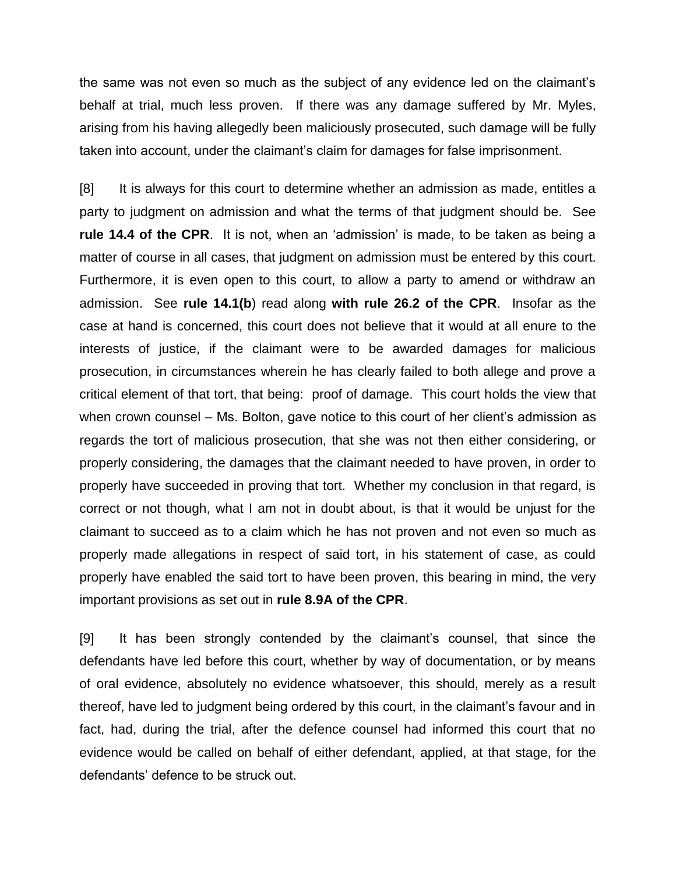the same was not even so much as the subject of any evidence led on the claimant's behalf at trial, much less proven. If there was any damage suffered by Mr. Myles, arising from his having allegedly been maliciously prosecuted, such damage will be fully taken into account, under the claimant's claim for damages for false imprisonment.

[8] It is always for this court to determine whether an admission as made, entitles a party to judgment on admission and what the terms of that judgment should be. See **rule 14.4 of the CPR**. It is not, when an 'admission' is made, to be taken as being a matter of course in all cases, that judgment on admission must be entered by this court. Furthermore, it is even open to this court, to allow a party to amend or withdraw an admission. See **rule 14.1(b**) read along **with rule 26.2 of the CPR**. Insofar as the case at hand is concerned, this court does not believe that it would at all enure to the interests of justice, if the claimant were to be awarded damages for malicious prosecution, in circumstances wherein he has clearly failed to both allege and prove a critical element of that tort, that being: proof of damage. This court holds the view that when crown counsel – Ms. Bolton, gave notice to this court of her client's admission as regards the tort of malicious prosecution, that she was not then either considering, or properly considering, the damages that the claimant needed to have proven, in order to properly have succeeded in proving that tort. Whether my conclusion in that regard, is correct or not though, what I am not in doubt about, is that it would be unjust for the claimant to succeed as to a claim which he has not proven and not even so much as properly made allegations in respect of said tort, in his statement of case, as could properly have enabled the said tort to have been proven, this bearing in mind, the very important provisions as set out in **rule 8.9A of the CPR**.

[9] It has been strongly contended by the claimant's counsel, that since the defendants have led before this court, whether by way of documentation, or by means of oral evidence, absolutely no evidence whatsoever, this should, merely as a result thereof, have led to judgment being ordered by this court, in the claimant's favour and in fact, had, during the trial, after the defence counsel had informed this court that no evidence would be called on behalf of either defendant, applied, at that stage, for the defendants' defence to be struck out.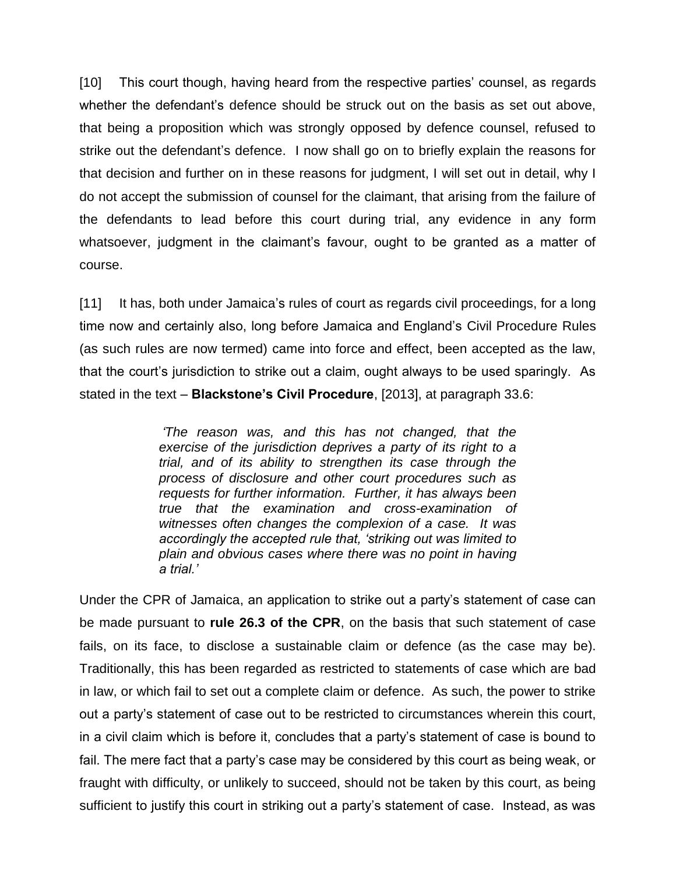[10] This court though, having heard from the respective parties' counsel, as regards whether the defendant's defence should be struck out on the basis as set out above, that being a proposition which was strongly opposed by defence counsel, refused to strike out the defendant's defence. I now shall go on to briefly explain the reasons for that decision and further on in these reasons for judgment, I will set out in detail, why I do not accept the submission of counsel for the claimant, that arising from the failure of the defendants to lead before this court during trial, any evidence in any form whatsoever, judgment in the claimant's favour, ought to be granted as a matter of course.

[11] It has, both under Jamaica's rules of court as regards civil proceedings, for a long time now and certainly also, long before Jamaica and England's Civil Procedure Rules (as such rules are now termed) came into force and effect, been accepted as the law, that the court's jurisdiction to strike out a claim, ought always to be used sparingly. As stated in the text – **Blackstone's Civil Procedure**, [2013], at paragraph 33.6:

> *'The reason was, and this has not changed, that the exercise of the jurisdiction deprives a party of its right to a trial, and of its ability to strengthen its case through the process of disclosure and other court procedures such as requests for further information. Further, it has always been true that the examination and cross-examination of witnesses often changes the complexion of a case. It was accordingly the accepted rule that, 'striking out was limited to plain and obvious cases where there was no point in having a trial.'*

Under the CPR of Jamaica, an application to strike out a party's statement of case can be made pursuant to **rule 26.3 of the CPR**, on the basis that such statement of case fails, on its face, to disclose a sustainable claim or defence (as the case may be). Traditionally, this has been regarded as restricted to statements of case which are bad in law, or which fail to set out a complete claim or defence. As such, the power to strike out a party's statement of case out to be restricted to circumstances wherein this court, in a civil claim which is before it, concludes that a party's statement of case is bound to fail. The mere fact that a party's case may be considered by this court as being weak, or fraught with difficulty, or unlikely to succeed, should not be taken by this court, as being sufficient to justify this court in striking out a party's statement of case. Instead, as was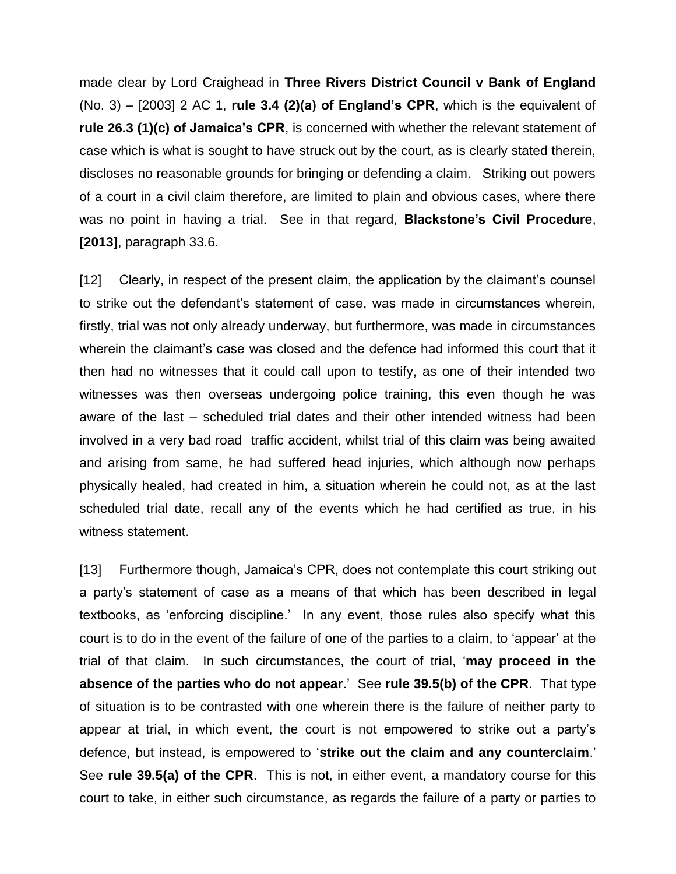made clear by Lord Craighead in **Three Rivers District Council v Bank of England** (No. 3) – [2003] 2 AC 1, **rule 3.4 (2)(a) of England's CPR**, which is the equivalent of **rule 26.3 (1)(c) of Jamaica's CPR**, is concerned with whether the relevant statement of case which is what is sought to have struck out by the court, as is clearly stated therein, discloses no reasonable grounds for bringing or defending a claim. Striking out powers of a court in a civil claim therefore, are limited to plain and obvious cases, where there was no point in having a trial. See in that regard, **Blackstone's Civil Procedure**, **[2013]**, paragraph 33.6.

[12] Clearly, in respect of the present claim, the application by the claimant's counsel to strike out the defendant's statement of case, was made in circumstances wherein, firstly, trial was not only already underway, but furthermore, was made in circumstances wherein the claimant's case was closed and the defence had informed this court that it then had no witnesses that it could call upon to testify, as one of their intended two witnesses was then overseas undergoing police training, this even though he was aware of the last – scheduled trial dates and their other intended witness had been involved in a very bad road traffic accident, whilst trial of this claim was being awaited and arising from same, he had suffered head injuries, which although now perhaps physically healed, had created in him, a situation wherein he could not, as at the last scheduled trial date, recall any of the events which he had certified as true, in his witness statement.

[13] Furthermore though, Jamaica's CPR, does not contemplate this court striking out a party's statement of case as a means of that which has been described in legal textbooks, as 'enforcing discipline.' In any event, those rules also specify what this court is to do in the event of the failure of one of the parties to a claim, to 'appear' at the trial of that claim. In such circumstances, the court of trial, '**may proceed in the absence of the parties who do not appear**.' See **rule 39.5(b) of the CPR**. That type of situation is to be contrasted with one wherein there is the failure of neither party to appear at trial, in which event, the court is not empowered to strike out a party's defence, but instead, is empowered to '**strike out the claim and any counterclaim**.' See **rule 39.5(a) of the CPR**. This is not, in either event, a mandatory course for this court to take, in either such circumstance, as regards the failure of a party or parties to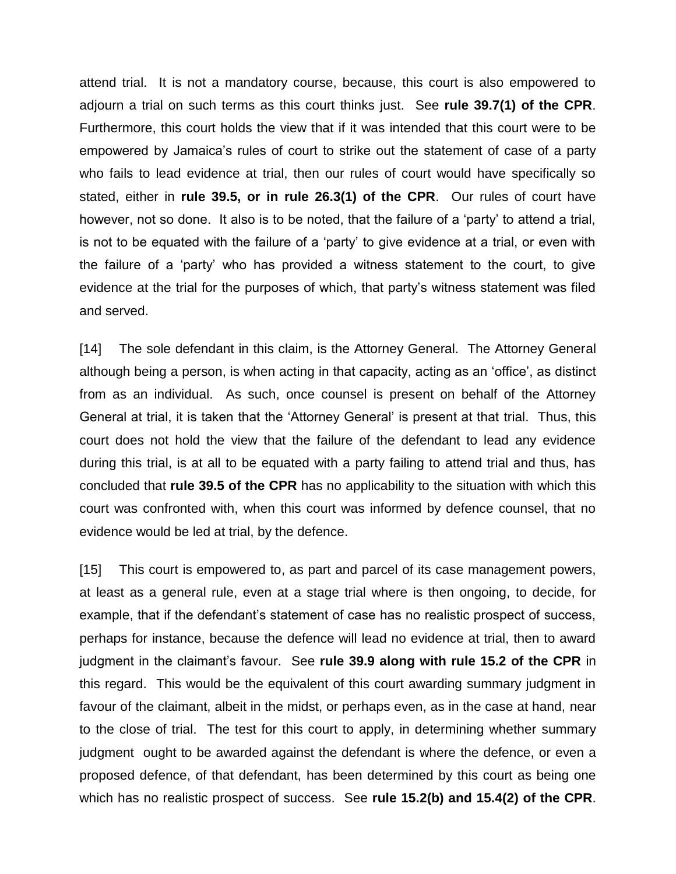attend trial. It is not a mandatory course, because, this court is also empowered to adjourn a trial on such terms as this court thinks just. See **rule 39.7(1) of the CPR**. Furthermore, this court holds the view that if it was intended that this court were to be empowered by Jamaica's rules of court to strike out the statement of case of a party who fails to lead evidence at trial, then our rules of court would have specifically so stated, either in **rule 39.5, or in rule 26.3(1) of the CPR**. Our rules of court have however, not so done. It also is to be noted, that the failure of a 'party' to attend a trial, is not to be equated with the failure of a 'party' to give evidence at a trial, or even with the failure of a 'party' who has provided a witness statement to the court, to give evidence at the trial for the purposes of which, that party's witness statement was filed and served.

[14] The sole defendant in this claim, is the Attorney General. The Attorney General although being a person, is when acting in that capacity, acting as an 'office', as distinct from as an individual. As such, once counsel is present on behalf of the Attorney General at trial, it is taken that the 'Attorney General' is present at that trial. Thus, this court does not hold the view that the failure of the defendant to lead any evidence during this trial, is at all to be equated with a party failing to attend trial and thus, has concluded that **rule 39.5 of the CPR** has no applicability to the situation with which this court was confronted with, when this court was informed by defence counsel, that no evidence would be led at trial, by the defence.

[15] This court is empowered to, as part and parcel of its case management powers, at least as a general rule, even at a stage trial where is then ongoing, to decide, for example, that if the defendant's statement of case has no realistic prospect of success, perhaps for instance, because the defence will lead no evidence at trial, then to award judgment in the claimant's favour. See **rule 39.9 along with rule 15.2 of the CPR** in this regard. This would be the equivalent of this court awarding summary judgment in favour of the claimant, albeit in the midst, or perhaps even, as in the case at hand, near to the close of trial. The test for this court to apply, in determining whether summary judgment ought to be awarded against the defendant is where the defence, or even a proposed defence, of that defendant, has been determined by this court as being one which has no realistic prospect of success. See **rule 15.2(b) and 15.4(2) of the CPR**.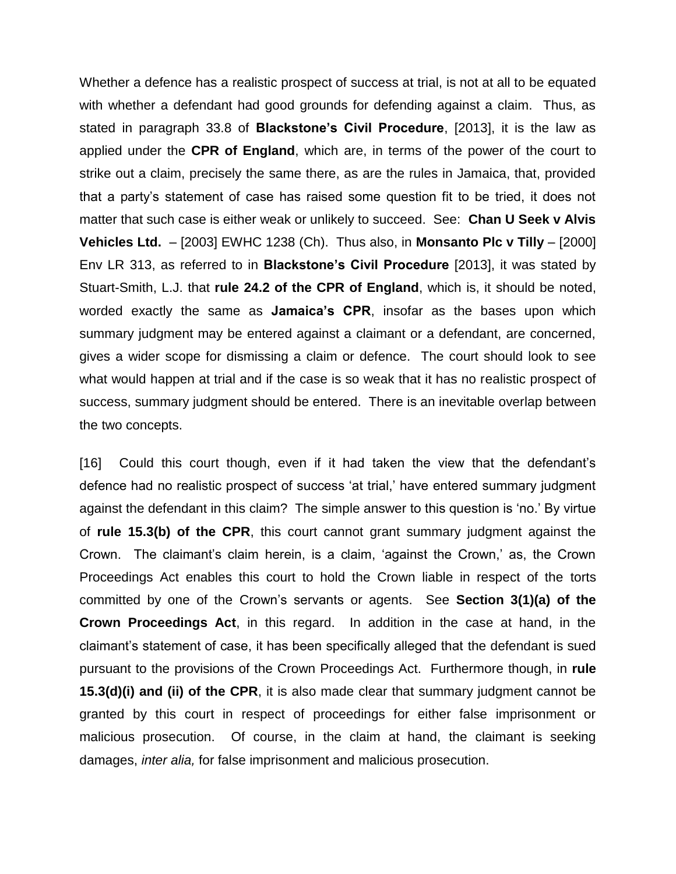Whether a defence has a realistic prospect of success at trial, is not at all to be equated with whether a defendant had good grounds for defending against a claim. Thus, as stated in paragraph 33.8 of **Blackstone's Civil Procedure**, [2013], it is the law as applied under the **CPR of England**, which are, in terms of the power of the court to strike out a claim, precisely the same there, as are the rules in Jamaica, that, provided that a party's statement of case has raised some question fit to be tried, it does not matter that such case is either weak or unlikely to succeed. See: **Chan U Seek v Alvis Vehicles Ltd.** – [2003] EWHC 1238 (Ch). Thus also, in **Monsanto Plc v Tilly** – [2000] Env LR 313, as referred to in **Blackstone's Civil Procedure** [2013], it was stated by Stuart-Smith, L.J. that **rule 24.2 of the CPR of England**, which is, it should be noted, worded exactly the same as **Jamaica's CPR**, insofar as the bases upon which summary judgment may be entered against a claimant or a defendant, are concerned, gives a wider scope for dismissing a claim or defence. The court should look to see what would happen at trial and if the case is so weak that it has no realistic prospect of success, summary judgment should be entered. There is an inevitable overlap between the two concepts.

[16] Could this court though, even if it had taken the view that the defendant's defence had no realistic prospect of success 'at trial,' have entered summary judgment against the defendant in this claim? The simple answer to this question is 'no.' By virtue of **rule 15.3(b) of the CPR**, this court cannot grant summary judgment against the Crown. The claimant's claim herein, is a claim, 'against the Crown,' as, the Crown Proceedings Act enables this court to hold the Crown liable in respect of the torts committed by one of the Crown's servants or agents. See **Section 3(1)(a) of the Crown Proceedings Act**, in this regard. In addition in the case at hand, in the claimant's statement of case, it has been specifically alleged that the defendant is sued pursuant to the provisions of the Crown Proceedings Act. Furthermore though, in **rule 15.3(d)(i) and (ii) of the CPR**, it is also made clear that summary judgment cannot be granted by this court in respect of proceedings for either false imprisonment or malicious prosecution. Of course, in the claim at hand, the claimant is seeking damages, *inter alia,* for false imprisonment and malicious prosecution.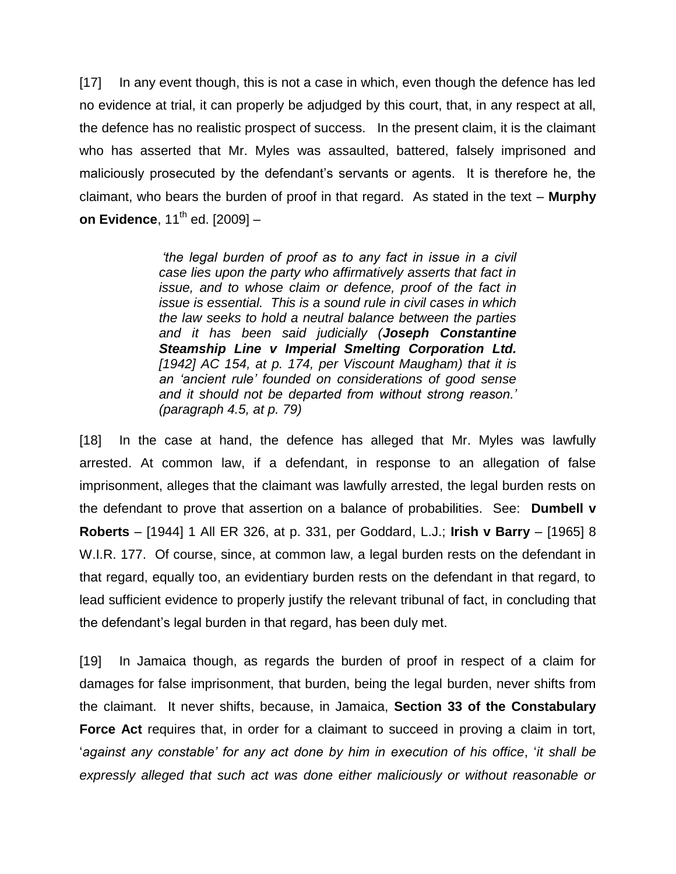[17] In any event though, this is not a case in which, even though the defence has led no evidence at trial, it can properly be adjudged by this court, that, in any respect at all, the defence has no realistic prospect of success. In the present claim, it is the claimant who has asserted that Mr. Myles was assaulted, battered, falsely imprisoned and maliciously prosecuted by the defendant's servants or agents. It is therefore he, the claimant, who bears the burden of proof in that regard. As stated in the text – **Murphy on Evidence**, 11<sup>th</sup> ed. [2009] -

> *'the legal burden of proof as to any fact in issue in a civil case lies upon the party who affirmatively asserts that fact in issue, and to whose claim or defence, proof of the fact in issue is essential. This is a sound rule in civil cases in which the law seeks to hold a neutral balance between the parties and it has been said judicially (Joseph Constantine Steamship Line v Imperial Smelting Corporation Ltd. [1942] AC 154, at p. 174, per Viscount Maugham) that it is an 'ancient rule' founded on considerations of good sense and it should not be departed from without strong reason.' (paragraph 4.5, at p. 79)*

[18] In the case at hand, the defence has alleged that Mr. Myles was lawfully arrested. At common law, if a defendant, in response to an allegation of false imprisonment, alleges that the claimant was lawfully arrested, the legal burden rests on the defendant to prove that assertion on a balance of probabilities. See: **Dumbell v Roberts** – [1944] 1 All ER 326, at p. 331, per Goddard, L.J.; **Irish v Barry** – [1965] 8 W.I.R. 177. Of course, since, at common law, a legal burden rests on the defendant in that regard, equally too, an evidentiary burden rests on the defendant in that regard, to lead sufficient evidence to properly justify the relevant tribunal of fact, in concluding that the defendant's legal burden in that regard, has been duly met.

[19] In Jamaica though, as regards the burden of proof in respect of a claim for damages for false imprisonment, that burden, being the legal burden, never shifts from the claimant. It never shifts, because, in Jamaica, **Section 33 of the Constabulary Force Act** requires that, in order for a claimant to succeed in proving a claim in tort, '*against any constable' for any act done by him in execution of his office*, '*it shall be expressly alleged that such act was done either maliciously or without reasonable or*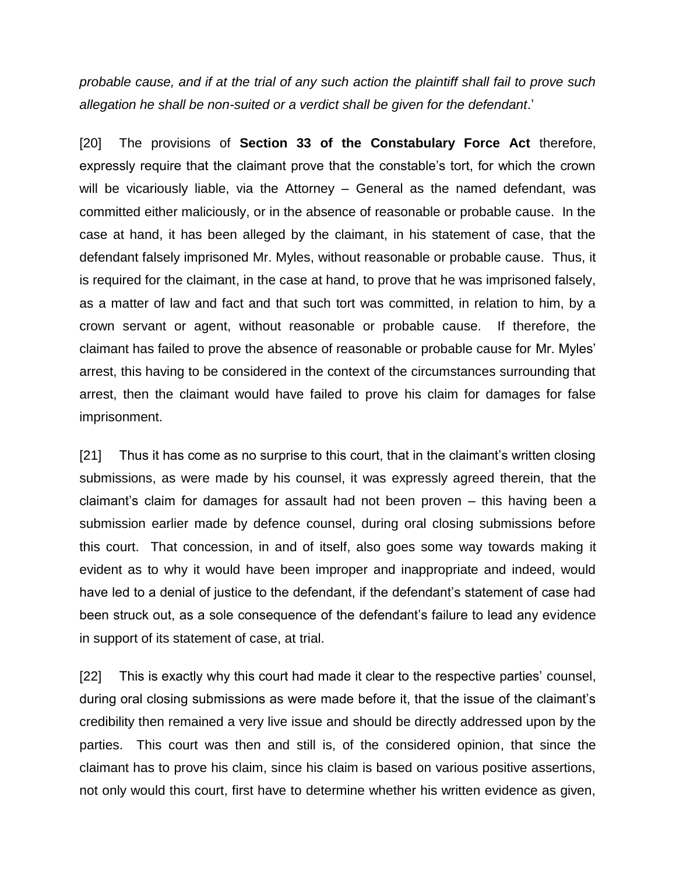*probable cause, and if at the trial of any such action the plaintiff shall fail to prove such allegation he shall be non-suited or a verdict shall be given for the defendant*.'

[20] The provisions of **Section 33 of the Constabulary Force Act** therefore, expressly require that the claimant prove that the constable's tort, for which the crown will be vicariously liable, via the Attorney – General as the named defendant, was committed either maliciously, or in the absence of reasonable or probable cause. In the case at hand, it has been alleged by the claimant, in his statement of case, that the defendant falsely imprisoned Mr. Myles, without reasonable or probable cause. Thus, it is required for the claimant, in the case at hand, to prove that he was imprisoned falsely, as a matter of law and fact and that such tort was committed, in relation to him, by a crown servant or agent, without reasonable or probable cause. If therefore, the claimant has failed to prove the absence of reasonable or probable cause for Mr. Myles' arrest, this having to be considered in the context of the circumstances surrounding that arrest, then the claimant would have failed to prove his claim for damages for false imprisonment.

[21] Thus it has come as no surprise to this court, that in the claimant's written closing submissions, as were made by his counsel, it was expressly agreed therein, that the claimant's claim for damages for assault had not been proven – this having been a submission earlier made by defence counsel, during oral closing submissions before this court. That concession, in and of itself, also goes some way towards making it evident as to why it would have been improper and inappropriate and indeed, would have led to a denial of justice to the defendant, if the defendant's statement of case had been struck out, as a sole consequence of the defendant's failure to lead any evidence in support of its statement of case, at trial.

[22] This is exactly why this court had made it clear to the respective parties' counsel, during oral closing submissions as were made before it, that the issue of the claimant's credibility then remained a very live issue and should be directly addressed upon by the parties. This court was then and still is, of the considered opinion, that since the claimant has to prove his claim, since his claim is based on various positive assertions, not only would this court, first have to determine whether his written evidence as given,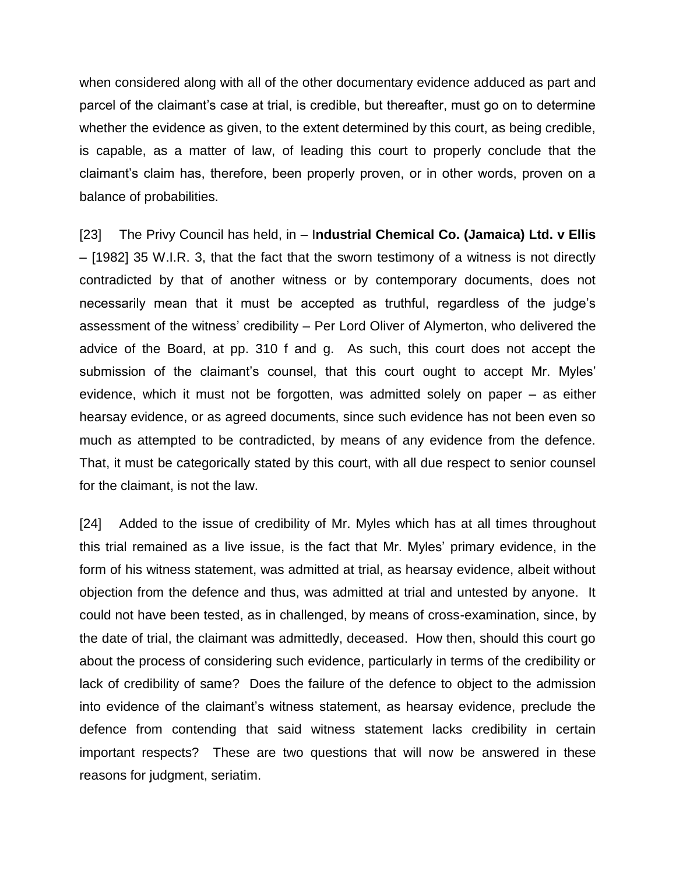when considered along with all of the other documentary evidence adduced as part and parcel of the claimant's case at trial, is credible, but thereafter, must go on to determine whether the evidence as given, to the extent determined by this court, as being credible, is capable, as a matter of law, of leading this court to properly conclude that the claimant's claim has, therefore, been properly proven, or in other words, proven on a balance of probabilities.

[23] The Privy Council has held, in – I**ndustrial Chemical Co. (Jamaica) Ltd. v Ellis** – [1982] 35 W.I.R. 3, that the fact that the sworn testimony of a witness is not directly contradicted by that of another witness or by contemporary documents, does not necessarily mean that it must be accepted as truthful, regardless of the judge's assessment of the witness' credibility – Per Lord Oliver of Alymerton, who delivered the advice of the Board, at pp. 310 f and g. As such, this court does not accept the submission of the claimant's counsel, that this court ought to accept Mr. Myles' evidence, which it must not be forgotten, was admitted solely on paper – as either hearsay evidence, or as agreed documents, since such evidence has not been even so much as attempted to be contradicted, by means of any evidence from the defence. That, it must be categorically stated by this court, with all due respect to senior counsel for the claimant, is not the law.

[24] Added to the issue of credibility of Mr. Myles which has at all times throughout this trial remained as a live issue, is the fact that Mr. Myles' primary evidence, in the form of his witness statement, was admitted at trial, as hearsay evidence, albeit without objection from the defence and thus, was admitted at trial and untested by anyone. It could not have been tested, as in challenged, by means of cross-examination, since, by the date of trial, the claimant was admittedly, deceased. How then, should this court go about the process of considering such evidence, particularly in terms of the credibility or lack of credibility of same? Does the failure of the defence to object to the admission into evidence of the claimant's witness statement, as hearsay evidence, preclude the defence from contending that said witness statement lacks credibility in certain important respects? These are two questions that will now be answered in these reasons for judgment, seriatim.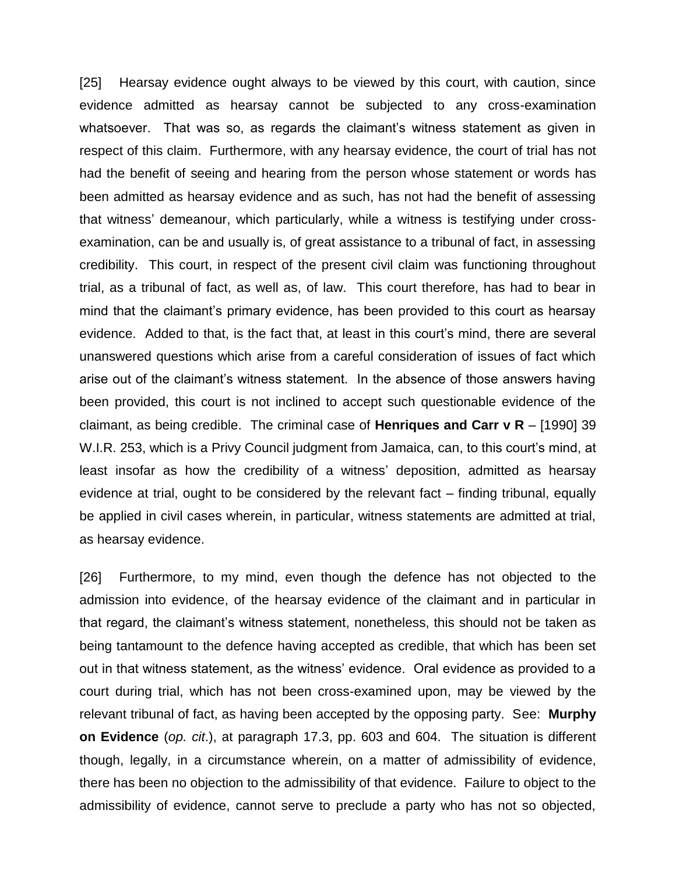[25] Hearsay evidence ought always to be viewed by this court, with caution, since evidence admitted as hearsay cannot be subjected to any cross-examination whatsoever. That was so, as regards the claimant's witness statement as given in respect of this claim. Furthermore, with any hearsay evidence, the court of trial has not had the benefit of seeing and hearing from the person whose statement or words has been admitted as hearsay evidence and as such, has not had the benefit of assessing that witness' demeanour, which particularly, while a witness is testifying under crossexamination, can be and usually is, of great assistance to a tribunal of fact, in assessing credibility. This court, in respect of the present civil claim was functioning throughout trial, as a tribunal of fact, as well as, of law. This court therefore, has had to bear in mind that the claimant's primary evidence, has been provided to this court as hearsay evidence. Added to that, is the fact that, at least in this court's mind, there are several unanswered questions which arise from a careful consideration of issues of fact which arise out of the claimant's witness statement. In the absence of those answers having been provided, this court is not inclined to accept such questionable evidence of the claimant, as being credible. The criminal case of **Henriques and Carr v R** – [1990] 39 W.I.R. 253, which is a Privy Council judgment from Jamaica, can, to this court's mind, at least insofar as how the credibility of a witness' deposition, admitted as hearsay evidence at trial, ought to be considered by the relevant fact – finding tribunal, equally be applied in civil cases wherein, in particular, witness statements are admitted at trial, as hearsay evidence.

[26] Furthermore, to my mind, even though the defence has not objected to the admission into evidence, of the hearsay evidence of the claimant and in particular in that regard, the claimant's witness statement, nonetheless, this should not be taken as being tantamount to the defence having accepted as credible, that which has been set out in that witness statement, as the witness' evidence. Oral evidence as provided to a court during trial, which has not been cross-examined upon, may be viewed by the relevant tribunal of fact, as having been accepted by the opposing party. See: **Murphy on Evidence** (*op. cit*.), at paragraph 17.3, pp. 603 and 604. The situation is different though, legally, in a circumstance wherein, on a matter of admissibility of evidence, there has been no objection to the admissibility of that evidence. Failure to object to the admissibility of evidence, cannot serve to preclude a party who has not so objected,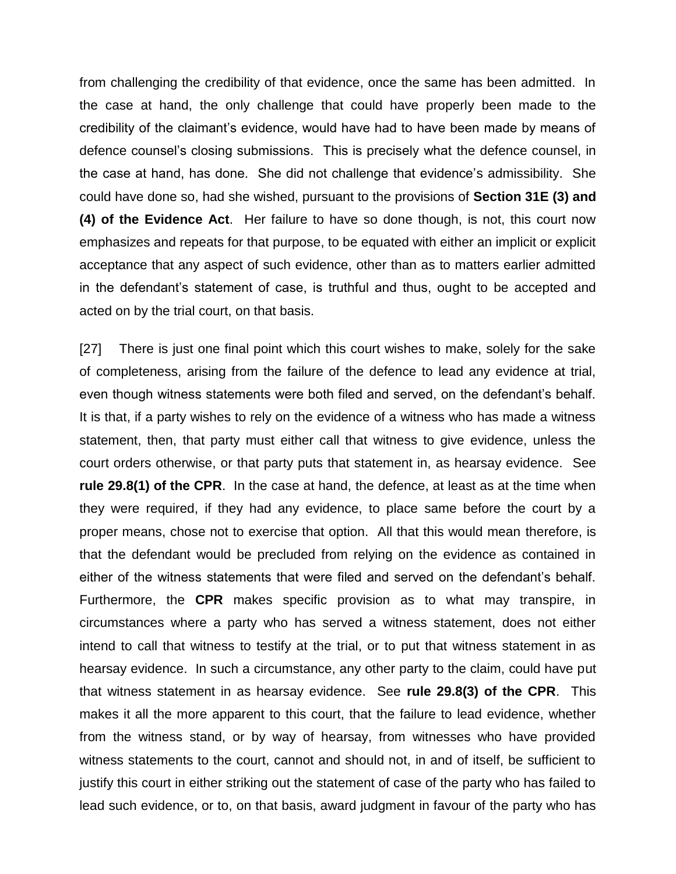from challenging the credibility of that evidence, once the same has been admitted. In the case at hand, the only challenge that could have properly been made to the credibility of the claimant's evidence, would have had to have been made by means of defence counsel's closing submissions. This is precisely what the defence counsel, in the case at hand, has done. She did not challenge that evidence's admissibility. She could have done so, had she wished, pursuant to the provisions of **Section 31E (3) and (4) of the Evidence Act**. Her failure to have so done though, is not, this court now emphasizes and repeats for that purpose, to be equated with either an implicit or explicit acceptance that any aspect of such evidence, other than as to matters earlier admitted in the defendant's statement of case, is truthful and thus, ought to be accepted and acted on by the trial court, on that basis.

[27] There is just one final point which this court wishes to make, solely for the sake of completeness, arising from the failure of the defence to lead any evidence at trial, even though witness statements were both filed and served, on the defendant's behalf. It is that, if a party wishes to rely on the evidence of a witness who has made a witness statement, then, that party must either call that witness to give evidence, unless the court orders otherwise, or that party puts that statement in, as hearsay evidence. See **rule 29.8(1) of the CPR**. In the case at hand, the defence, at least as at the time when they were required, if they had any evidence, to place same before the court by a proper means, chose not to exercise that option. All that this would mean therefore, is that the defendant would be precluded from relying on the evidence as contained in either of the witness statements that were filed and served on the defendant's behalf. Furthermore, the **CPR** makes specific provision as to what may transpire, in circumstances where a party who has served a witness statement, does not either intend to call that witness to testify at the trial, or to put that witness statement in as hearsay evidence. In such a circumstance, any other party to the claim, could have put that witness statement in as hearsay evidence. See **rule 29.8(3) of the CPR**. This makes it all the more apparent to this court, that the failure to lead evidence, whether from the witness stand, or by way of hearsay, from witnesses who have provided witness statements to the court, cannot and should not, in and of itself, be sufficient to justify this court in either striking out the statement of case of the party who has failed to lead such evidence, or to, on that basis, award judgment in favour of the party who has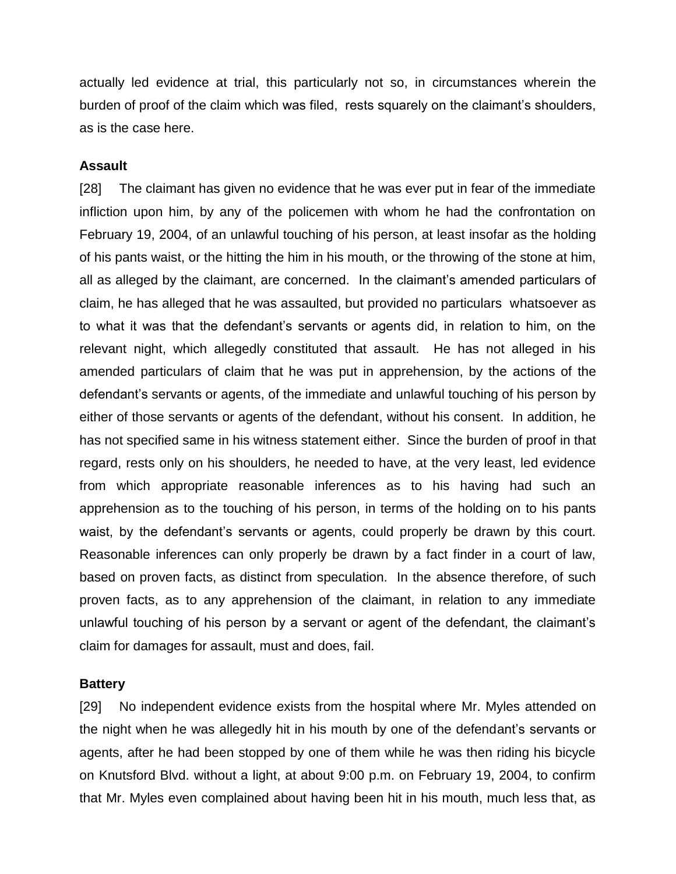actually led evidence at trial, this particularly not so, in circumstances wherein the burden of proof of the claim which was filed, rests squarely on the claimant's shoulders, as is the case here.

### **Assault**

[28] The claimant has given no evidence that he was ever put in fear of the immediate infliction upon him, by any of the policemen with whom he had the confrontation on February 19, 2004, of an unlawful touching of his person, at least insofar as the holding of his pants waist, or the hitting the him in his mouth, or the throwing of the stone at him, all as alleged by the claimant, are concerned. In the claimant's amended particulars of claim, he has alleged that he was assaulted, but provided no particulars whatsoever as to what it was that the defendant's servants or agents did, in relation to him, on the relevant night, which allegedly constituted that assault. He has not alleged in his amended particulars of claim that he was put in apprehension, by the actions of the defendant's servants or agents, of the immediate and unlawful touching of his person by either of those servants or agents of the defendant, without his consent. In addition, he has not specified same in his witness statement either. Since the burden of proof in that regard, rests only on his shoulders, he needed to have, at the very least, led evidence from which appropriate reasonable inferences as to his having had such an apprehension as to the touching of his person, in terms of the holding on to his pants waist, by the defendant's servants or agents, could properly be drawn by this court. Reasonable inferences can only properly be drawn by a fact finder in a court of law, based on proven facts, as distinct from speculation. In the absence therefore, of such proven facts, as to any apprehension of the claimant, in relation to any immediate unlawful touching of his person by a servant or agent of the defendant, the claimant's claim for damages for assault, must and does, fail.

### **Battery**

[29] No independent evidence exists from the hospital where Mr. Myles attended on the night when he was allegedly hit in his mouth by one of the defendant's servants or agents, after he had been stopped by one of them while he was then riding his bicycle on Knutsford Blvd. without a light, at about 9:00 p.m. on February 19, 2004, to confirm that Mr. Myles even complained about having been hit in his mouth, much less that, as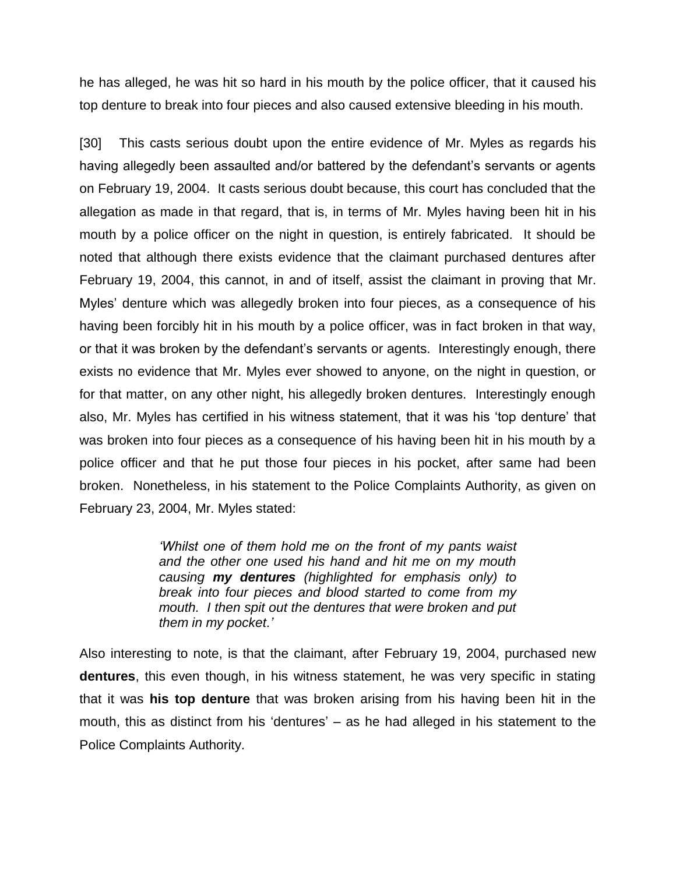he has alleged, he was hit so hard in his mouth by the police officer, that it caused his top denture to break into four pieces and also caused extensive bleeding in his mouth.

[30] This casts serious doubt upon the entire evidence of Mr. Myles as regards his having allegedly been assaulted and/or battered by the defendant's servants or agents on February 19, 2004. It casts serious doubt because, this court has concluded that the allegation as made in that regard, that is, in terms of Mr. Myles having been hit in his mouth by a police officer on the night in question, is entirely fabricated. It should be noted that although there exists evidence that the claimant purchased dentures after February 19, 2004, this cannot, in and of itself, assist the claimant in proving that Mr. Myles' denture which was allegedly broken into four pieces, as a consequence of his having been forcibly hit in his mouth by a police officer, was in fact broken in that way, or that it was broken by the defendant's servants or agents. Interestingly enough, there exists no evidence that Mr. Myles ever showed to anyone, on the night in question, or for that matter, on any other night, his allegedly broken dentures. Interestingly enough also, Mr. Myles has certified in his witness statement, that it was his 'top denture' that was broken into four pieces as a consequence of his having been hit in his mouth by a police officer and that he put those four pieces in his pocket, after same had been broken. Nonetheless, in his statement to the Police Complaints Authority, as given on February 23, 2004, Mr. Myles stated:

> *'Whilst one of them hold me on the front of my pants waist and the other one used his hand and hit me on my mouth causing my dentures (highlighted for emphasis only) to break into four pieces and blood started to come from my mouth. I then spit out the dentures that were broken and put them in my pocket.'*

Also interesting to note, is that the claimant, after February 19, 2004, purchased new **dentures**, this even though, in his witness statement, he was very specific in stating that it was **his top denture** that was broken arising from his having been hit in the mouth, this as distinct from his 'dentures' – as he had alleged in his statement to the Police Complaints Authority.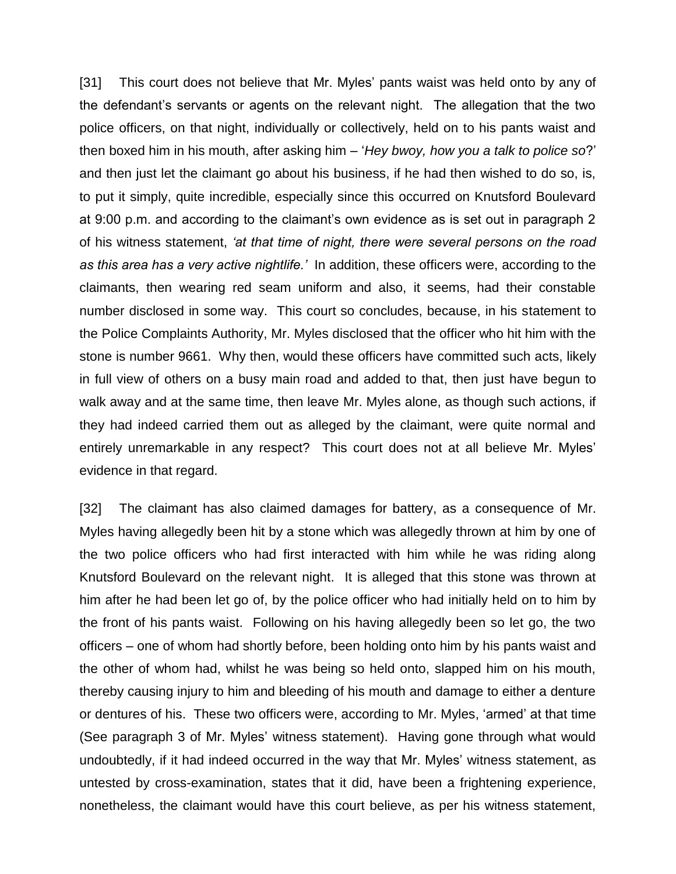[31] This court does not believe that Mr. Myles' pants waist was held onto by any of the defendant's servants or agents on the relevant night. The allegation that the two police officers, on that night, individually or collectively, held on to his pants waist and then boxed him in his mouth, after asking him – '*Hey bwoy, how you a talk to police so*?' and then just let the claimant go about his business, if he had then wished to do so, is, to put it simply, quite incredible, especially since this occurred on Knutsford Boulevard at 9:00 p.m. and according to the claimant's own evidence as is set out in paragraph 2 of his witness statement, *'at that time of night, there were several persons on the road as this area has a very active nightlife.'* In addition, these officers were, according to the claimants, then wearing red seam uniform and also, it seems, had their constable number disclosed in some way. This court so concludes, because, in his statement to the Police Complaints Authority, Mr. Myles disclosed that the officer who hit him with the stone is number 9661. Why then, would these officers have committed such acts, likely in full view of others on a busy main road and added to that, then just have begun to walk away and at the same time, then leave Mr. Myles alone, as though such actions, if they had indeed carried them out as alleged by the claimant, were quite normal and entirely unremarkable in any respect? This court does not at all believe Mr. Myles' evidence in that regard.

[32] The claimant has also claimed damages for battery, as a consequence of Mr. Myles having allegedly been hit by a stone which was allegedly thrown at him by one of the two police officers who had first interacted with him while he was riding along Knutsford Boulevard on the relevant night. It is alleged that this stone was thrown at him after he had been let go of, by the police officer who had initially held on to him by the front of his pants waist. Following on his having allegedly been so let go, the two officers – one of whom had shortly before, been holding onto him by his pants waist and the other of whom had, whilst he was being so held onto, slapped him on his mouth, thereby causing injury to him and bleeding of his mouth and damage to either a denture or dentures of his. These two officers were, according to Mr. Myles, 'armed' at that time (See paragraph 3 of Mr. Myles' witness statement). Having gone through what would undoubtedly, if it had indeed occurred in the way that Mr. Myles' witness statement, as untested by cross-examination, states that it did, have been a frightening experience, nonetheless, the claimant would have this court believe, as per his witness statement,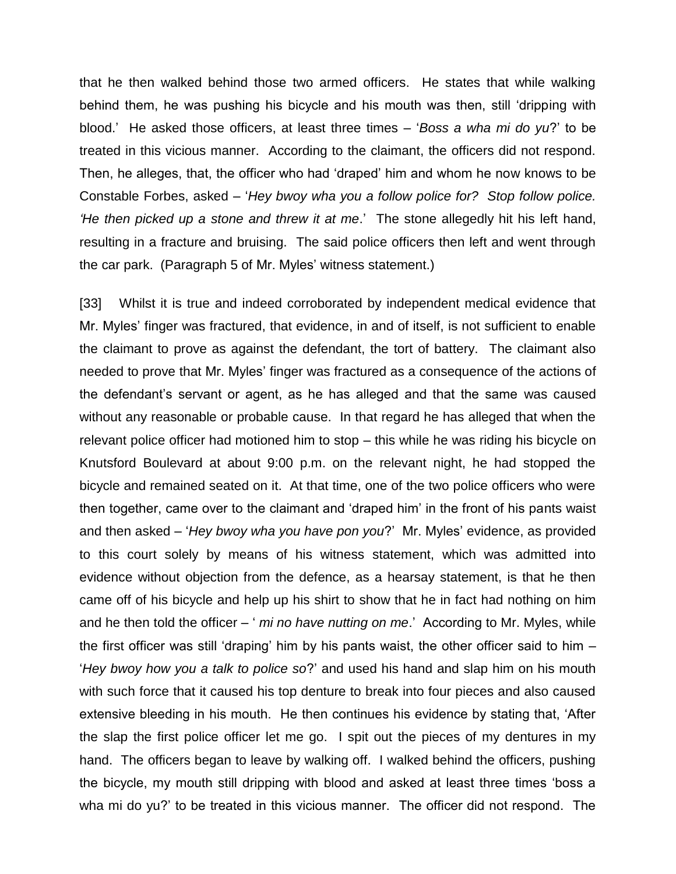that he then walked behind those two armed officers. He states that while walking behind them, he was pushing his bicycle and his mouth was then, still 'dripping with blood.' He asked those officers, at least three times – '*Boss a wha mi do yu*?' to be treated in this vicious manner. According to the claimant, the officers did not respond. Then, he alleges, that, the officer who had 'draped' him and whom he now knows to be Constable Forbes, asked – '*Hey bwoy wha you a follow police for? Stop follow police. 'He then picked up a stone and threw it at me*.' The stone allegedly hit his left hand, resulting in a fracture and bruising. The said police officers then left and went through the car park. (Paragraph 5 of Mr. Myles' witness statement.)

[33] Whilst it is true and indeed corroborated by independent medical evidence that Mr. Myles' finger was fractured, that evidence, in and of itself, is not sufficient to enable the claimant to prove as against the defendant, the tort of battery. The claimant also needed to prove that Mr. Myles' finger was fractured as a consequence of the actions of the defendant's servant or agent, as he has alleged and that the same was caused without any reasonable or probable cause. In that regard he has alleged that when the relevant police officer had motioned him to stop – this while he was riding his bicycle on Knutsford Boulevard at about 9:00 p.m. on the relevant night, he had stopped the bicycle and remained seated on it. At that time, one of the two police officers who were then together, came over to the claimant and 'draped him' in the front of his pants waist and then asked – '*Hey bwoy wha you have pon you*?' Mr. Myles' evidence, as provided to this court solely by means of his witness statement, which was admitted into evidence without objection from the defence, as a hearsay statement, is that he then came off of his bicycle and help up his shirt to show that he in fact had nothing on him and he then told the officer – ' *mi no have nutting on me*.' According to Mr. Myles, while the first officer was still 'draping' him by his pants waist, the other officer said to him – '*Hey bwoy how you a talk to police so*?' and used his hand and slap him on his mouth with such force that it caused his top denture to break into four pieces and also caused extensive bleeding in his mouth. He then continues his evidence by stating that, 'After the slap the first police officer let me go. I spit out the pieces of my dentures in my hand. The officers began to leave by walking off. I walked behind the officers, pushing the bicycle, my mouth still dripping with blood and asked at least three times 'boss a wha mi do yu?' to be treated in this vicious manner. The officer did not respond. The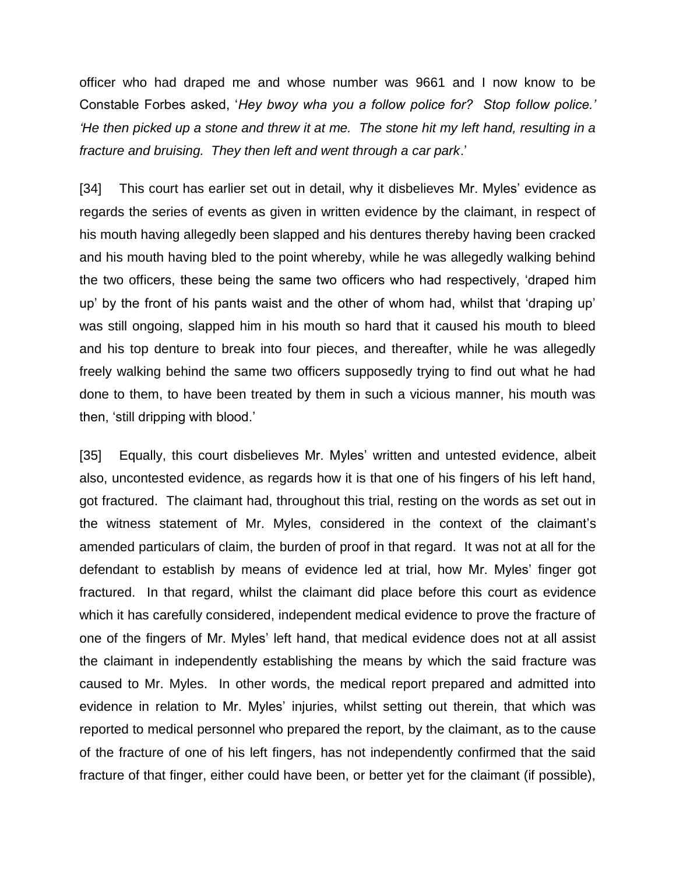officer who had draped me and whose number was 9661 and I now know to be Constable Forbes asked, '*Hey bwoy wha you a follow police for? Stop follow police.' 'He then picked up a stone and threw it at me. The stone hit my left hand, resulting in a fracture and bruising. They then left and went through a car park*.'

[34] This court has earlier set out in detail, why it disbelieves Mr. Myles' evidence as regards the series of events as given in written evidence by the claimant, in respect of his mouth having allegedly been slapped and his dentures thereby having been cracked and his mouth having bled to the point whereby, while he was allegedly walking behind the two officers, these being the same two officers who had respectively, 'draped him up' by the front of his pants waist and the other of whom had, whilst that 'draping up' was still ongoing, slapped him in his mouth so hard that it caused his mouth to bleed and his top denture to break into four pieces, and thereafter, while he was allegedly freely walking behind the same two officers supposedly trying to find out what he had done to them, to have been treated by them in such a vicious manner, his mouth was then, 'still dripping with blood.'

[35] Equally, this court disbelieves Mr. Myles' written and untested evidence, albeit also, uncontested evidence, as regards how it is that one of his fingers of his left hand, got fractured. The claimant had, throughout this trial, resting on the words as set out in the witness statement of Mr. Myles, considered in the context of the claimant's amended particulars of claim, the burden of proof in that regard. It was not at all for the defendant to establish by means of evidence led at trial, how Mr. Myles' finger got fractured. In that regard, whilst the claimant did place before this court as evidence which it has carefully considered, independent medical evidence to prove the fracture of one of the fingers of Mr. Myles' left hand, that medical evidence does not at all assist the claimant in independently establishing the means by which the said fracture was caused to Mr. Myles. In other words, the medical report prepared and admitted into evidence in relation to Mr. Myles' injuries, whilst setting out therein, that which was reported to medical personnel who prepared the report, by the claimant, as to the cause of the fracture of one of his left fingers, has not independently confirmed that the said fracture of that finger, either could have been, or better yet for the claimant (if possible),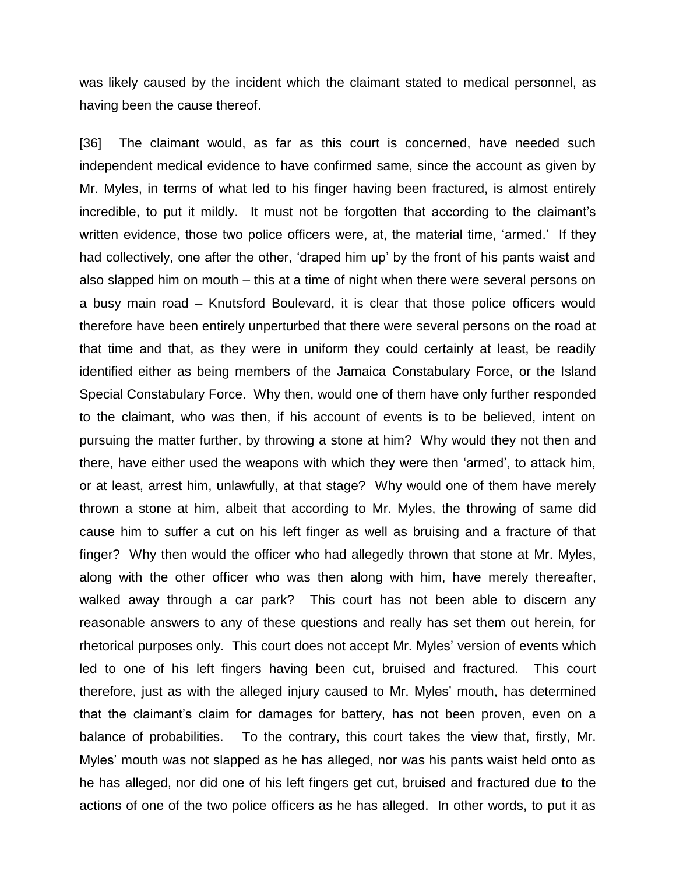was likely caused by the incident which the claimant stated to medical personnel, as having been the cause thereof.

[36] The claimant would, as far as this court is concerned, have needed such independent medical evidence to have confirmed same, since the account as given by Mr. Myles, in terms of what led to his finger having been fractured, is almost entirely incredible, to put it mildly. It must not be forgotten that according to the claimant's written evidence, those two police officers were, at, the material time, 'armed.' If they had collectively, one after the other, 'draped him up' by the front of his pants waist and also slapped him on mouth – this at a time of night when there were several persons on a busy main road – Knutsford Boulevard, it is clear that those police officers would therefore have been entirely unperturbed that there were several persons on the road at that time and that, as they were in uniform they could certainly at least, be readily identified either as being members of the Jamaica Constabulary Force, or the Island Special Constabulary Force. Why then, would one of them have only further responded to the claimant, who was then, if his account of events is to be believed, intent on pursuing the matter further, by throwing a stone at him? Why would they not then and there, have either used the weapons with which they were then 'armed', to attack him, or at least, arrest him, unlawfully, at that stage? Why would one of them have merely thrown a stone at him, albeit that according to Mr. Myles, the throwing of same did cause him to suffer a cut on his left finger as well as bruising and a fracture of that finger? Why then would the officer who had allegedly thrown that stone at Mr. Myles, along with the other officer who was then along with him, have merely thereafter, walked away through a car park? This court has not been able to discern any reasonable answers to any of these questions and really has set them out herein, for rhetorical purposes only. This court does not accept Mr. Myles' version of events which led to one of his left fingers having been cut, bruised and fractured. This court therefore, just as with the alleged injury caused to Mr. Myles' mouth, has determined that the claimant's claim for damages for battery, has not been proven, even on a balance of probabilities. To the contrary, this court takes the view that, firstly, Mr. Myles' mouth was not slapped as he has alleged, nor was his pants waist held onto as he has alleged, nor did one of his left fingers get cut, bruised and fractured due to the actions of one of the two police officers as he has alleged. In other words, to put it as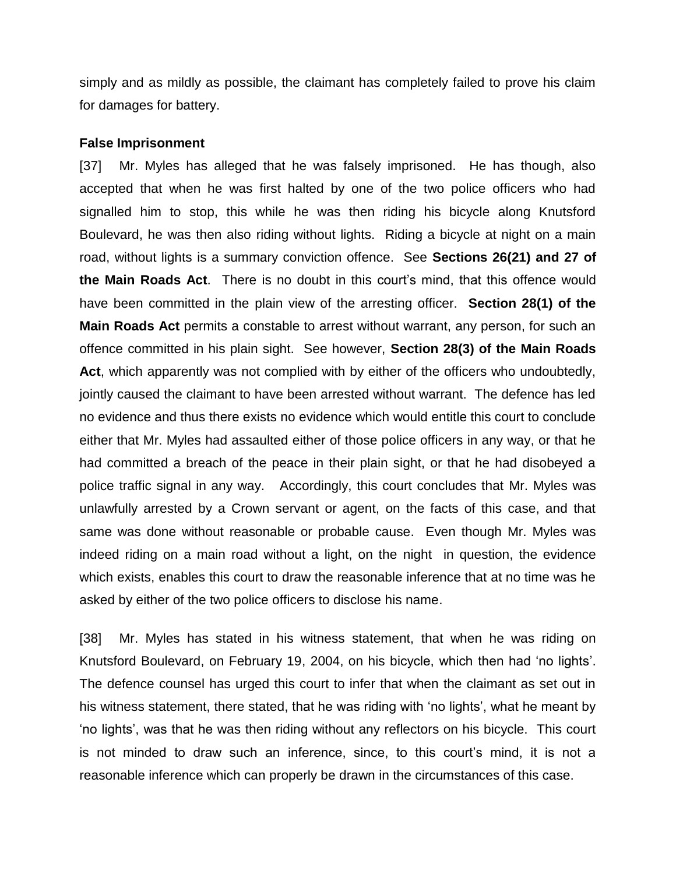simply and as mildly as possible, the claimant has completely failed to prove his claim for damages for battery.

#### **False Imprisonment**

[37] Mr. Myles has alleged that he was falsely imprisoned. He has though, also accepted that when he was first halted by one of the two police officers who had signalled him to stop, this while he was then riding his bicycle along Knutsford Boulevard, he was then also riding without lights. Riding a bicycle at night on a main road, without lights is a summary conviction offence. See **Sections 26(21) and 27 of the Main Roads Act**. There is no doubt in this court's mind, that this offence would have been committed in the plain view of the arresting officer. **Section 28(1) of the Main Roads Act** permits a constable to arrest without warrant, any person, for such an offence committed in his plain sight. See however, **Section 28(3) of the Main Roads Act**, which apparently was not complied with by either of the officers who undoubtedly, jointly caused the claimant to have been arrested without warrant. The defence has led no evidence and thus there exists no evidence which would entitle this court to conclude either that Mr. Myles had assaulted either of those police officers in any way, or that he had committed a breach of the peace in their plain sight, or that he had disobeyed a police traffic signal in any way. Accordingly, this court concludes that Mr. Myles was unlawfully arrested by a Crown servant or agent, on the facts of this case, and that same was done without reasonable or probable cause. Even though Mr. Myles was indeed riding on a main road without a light, on the night in question, the evidence which exists, enables this court to draw the reasonable inference that at no time was he asked by either of the two police officers to disclose his name.

[38] Mr. Myles has stated in his witness statement, that when he was riding on Knutsford Boulevard, on February 19, 2004, on his bicycle, which then had 'no lights'. The defence counsel has urged this court to infer that when the claimant as set out in his witness statement, there stated, that he was riding with 'no lights', what he meant by 'no lights', was that he was then riding without any reflectors on his bicycle. This court is not minded to draw such an inference, since, to this court's mind, it is not a reasonable inference which can properly be drawn in the circumstances of this case.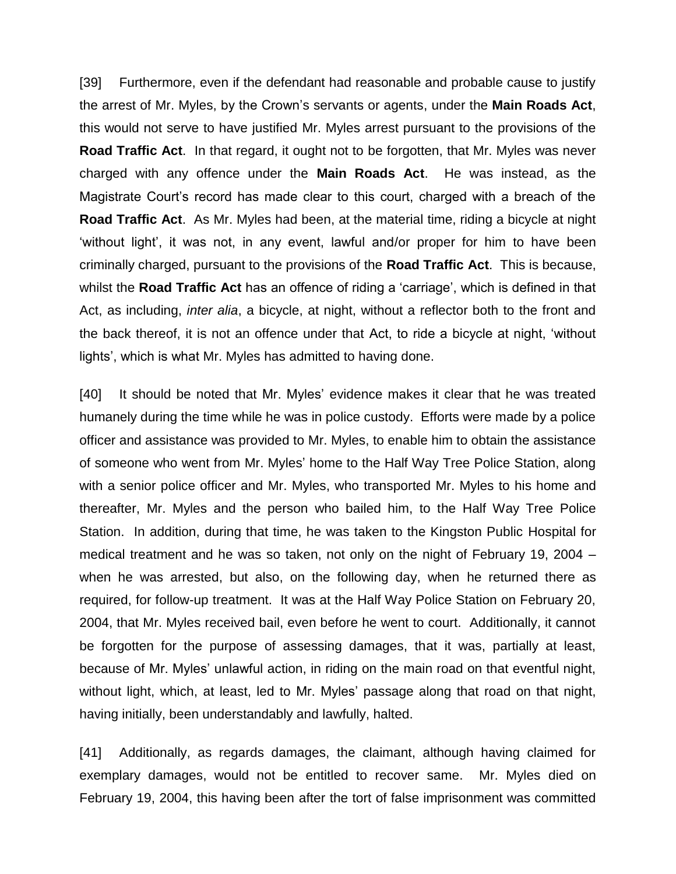[39] Furthermore, even if the defendant had reasonable and probable cause to justify the arrest of Mr. Myles, by the Crown's servants or agents, under the **Main Roads Act**, this would not serve to have justified Mr. Myles arrest pursuant to the provisions of the **Road Traffic Act**. In that regard, it ought not to be forgotten, that Mr. Myles was never charged with any offence under the **Main Roads Act**. He was instead, as the Magistrate Court's record has made clear to this court, charged with a breach of the **Road Traffic Act**. As Mr. Myles had been, at the material time, riding a bicycle at night 'without light', it was not, in any event, lawful and/or proper for him to have been criminally charged, pursuant to the provisions of the **Road Traffic Act**. This is because, whilst the **Road Traffic Act** has an offence of riding a 'carriage', which is defined in that Act, as including, *inter alia*, a bicycle, at night, without a reflector both to the front and the back thereof, it is not an offence under that Act, to ride a bicycle at night, 'without lights', which is what Mr. Myles has admitted to having done.

[40] It should be noted that Mr. Myles' evidence makes it clear that he was treated humanely during the time while he was in police custody. Efforts were made by a police officer and assistance was provided to Mr. Myles, to enable him to obtain the assistance of someone who went from Mr. Myles' home to the Half Way Tree Police Station, along with a senior police officer and Mr. Myles, who transported Mr. Myles to his home and thereafter, Mr. Myles and the person who bailed him, to the Half Way Tree Police Station. In addition, during that time, he was taken to the Kingston Public Hospital for medical treatment and he was so taken, not only on the night of February 19, 2004 – when he was arrested, but also, on the following day, when he returned there as required, for follow-up treatment. It was at the Half Way Police Station on February 20, 2004, that Mr. Myles received bail, even before he went to court. Additionally, it cannot be forgotten for the purpose of assessing damages, that it was, partially at least, because of Mr. Myles' unlawful action, in riding on the main road on that eventful night, without light, which, at least, led to Mr. Myles' passage along that road on that night, having initially, been understandably and lawfully, halted.

[41] Additionally, as regards damages, the claimant, although having claimed for exemplary damages, would not be entitled to recover same. Mr. Myles died on February 19, 2004, this having been after the tort of false imprisonment was committed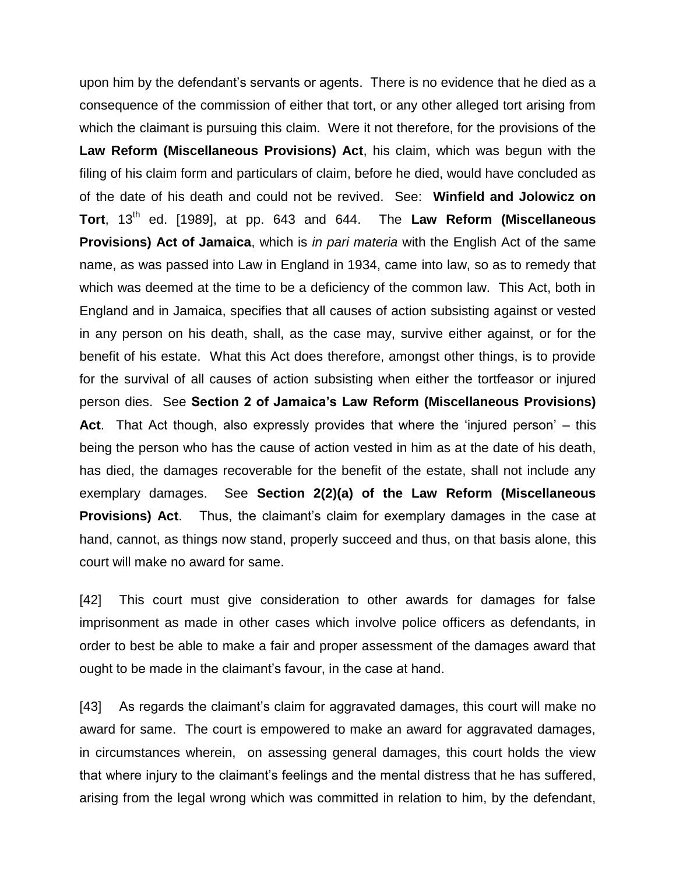upon him by the defendant's servants or agents. There is no evidence that he died as a consequence of the commission of either that tort, or any other alleged tort arising from which the claimant is pursuing this claim. Were it not therefore, for the provisions of the **Law Reform (Miscellaneous Provisions) Act**, his claim, which was begun with the filing of his claim form and particulars of claim, before he died, would have concluded as of the date of his death and could not be revived. See: **Winfield and Jolowicz on**  Tort, 13<sup>th</sup> ed. [1989], at pp. 643 and 644. The Law Reform (Miscellaneous **Provisions) Act of Jamaica**, which is *in pari materia* with the English Act of the same name, as was passed into Law in England in 1934, came into law, so as to remedy that which was deemed at the time to be a deficiency of the common law. This Act, both in England and in Jamaica, specifies that all causes of action subsisting against or vested in any person on his death, shall, as the case may, survive either against, or for the benefit of his estate. What this Act does therefore, amongst other things, is to provide for the survival of all causes of action subsisting when either the tortfeasor or injured person dies. See **Section 2 of Jamaica's Law Reform (Miscellaneous Provisions) Act**. That Act though, also expressly provides that where the 'injured person' – this being the person who has the cause of action vested in him as at the date of his death, has died, the damages recoverable for the benefit of the estate, shall not include any exemplary damages. See **Section 2(2)(a) of the Law Reform (Miscellaneous Provisions) Act.** Thus, the claimant's claim for exemplary damages in the case at hand, cannot, as things now stand, properly succeed and thus, on that basis alone, this court will make no award for same.

[42] This court must give consideration to other awards for damages for false imprisonment as made in other cases which involve police officers as defendants, in order to best be able to make a fair and proper assessment of the damages award that ought to be made in the claimant's favour, in the case at hand.

[43] As regards the claimant's claim for aggravated damages, this court will make no award for same. The court is empowered to make an award for aggravated damages, in circumstances wherein, on assessing general damages, this court holds the view that where injury to the claimant's feelings and the mental distress that he has suffered, arising from the legal wrong which was committed in relation to him, by the defendant,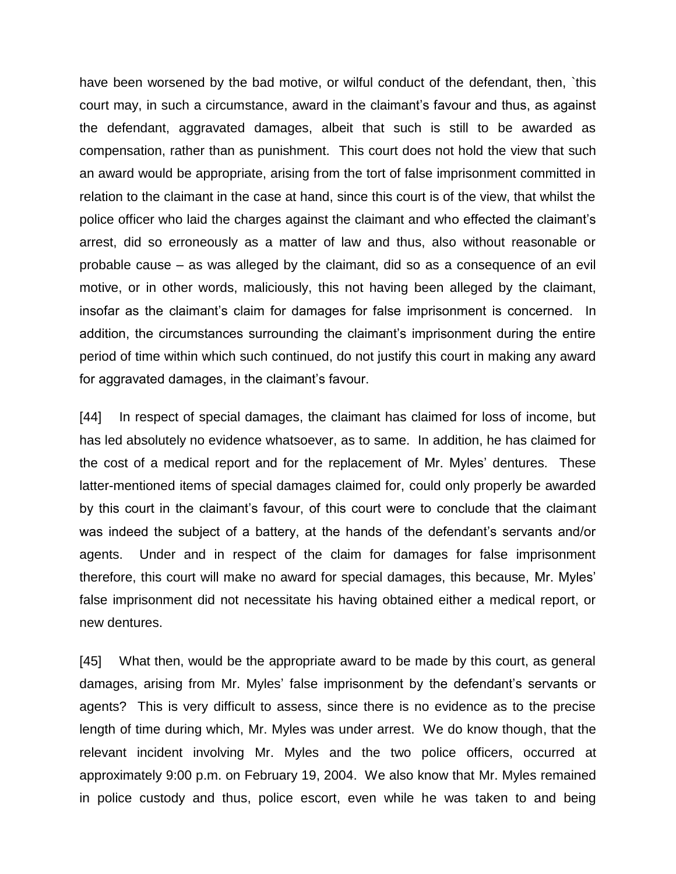have been worsened by the bad motive, or wilful conduct of the defendant, then, `this court may, in such a circumstance, award in the claimant's favour and thus, as against the defendant, aggravated damages, albeit that such is still to be awarded as compensation, rather than as punishment. This court does not hold the view that such an award would be appropriate, arising from the tort of false imprisonment committed in relation to the claimant in the case at hand, since this court is of the view, that whilst the police officer who laid the charges against the claimant and who effected the claimant's arrest, did so erroneously as a matter of law and thus, also without reasonable or probable cause – as was alleged by the claimant, did so as a consequence of an evil motive, or in other words, maliciously, this not having been alleged by the claimant, insofar as the claimant's claim for damages for false imprisonment is concerned. In addition, the circumstances surrounding the claimant's imprisonment during the entire period of time within which such continued, do not justify this court in making any award for aggravated damages, in the claimant's favour.

[44] In respect of special damages, the claimant has claimed for loss of income, but has led absolutely no evidence whatsoever, as to same. In addition, he has claimed for the cost of a medical report and for the replacement of Mr. Myles' dentures. These latter-mentioned items of special damages claimed for, could only properly be awarded by this court in the claimant's favour, of this court were to conclude that the claimant was indeed the subject of a battery, at the hands of the defendant's servants and/or agents. Under and in respect of the claim for damages for false imprisonment therefore, this court will make no award for special damages, this because, Mr. Myles' false imprisonment did not necessitate his having obtained either a medical report, or new dentures.

[45] What then, would be the appropriate award to be made by this court, as general damages, arising from Mr. Myles' false imprisonment by the defendant's servants or agents? This is very difficult to assess, since there is no evidence as to the precise length of time during which, Mr. Myles was under arrest. We do know though, that the relevant incident involving Mr. Myles and the two police officers, occurred at approximately 9:00 p.m. on February 19, 2004. We also know that Mr. Myles remained in police custody and thus, police escort, even while he was taken to and being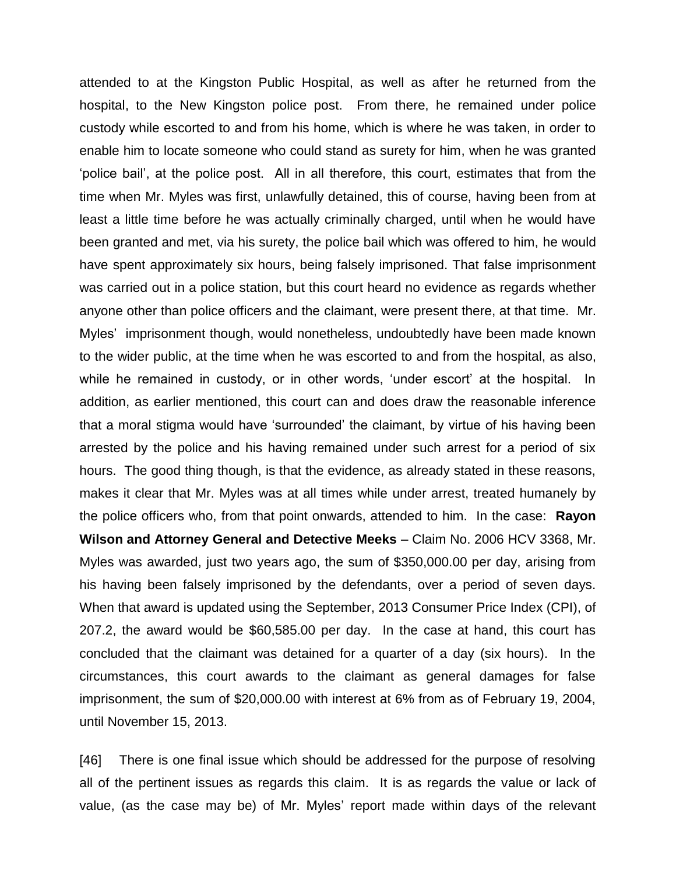attended to at the Kingston Public Hospital, as well as after he returned from the hospital, to the New Kingston police post. From there, he remained under police custody while escorted to and from his home, which is where he was taken, in order to enable him to locate someone who could stand as surety for him, when he was granted 'police bail', at the police post. All in all therefore, this court, estimates that from the time when Mr. Myles was first, unlawfully detained, this of course, having been from at least a little time before he was actually criminally charged, until when he would have been granted and met, via his surety, the police bail which was offered to him, he would have spent approximately six hours, being falsely imprisoned. That false imprisonment was carried out in a police station, but this court heard no evidence as regards whether anyone other than police officers and the claimant, were present there, at that time. Mr. Myles' imprisonment though, would nonetheless, undoubtedly have been made known to the wider public, at the time when he was escorted to and from the hospital, as also, while he remained in custody, or in other words, 'under escort' at the hospital. In addition, as earlier mentioned, this court can and does draw the reasonable inference that a moral stigma would have 'surrounded' the claimant, by virtue of his having been arrested by the police and his having remained under such arrest for a period of six hours. The good thing though, is that the evidence, as already stated in these reasons, makes it clear that Mr. Myles was at all times while under arrest, treated humanely by the police officers who, from that point onwards, attended to him. In the case: **Rayon Wilson and Attorney General and Detective Meeks** – Claim No. 2006 HCV 3368, Mr. Myles was awarded, just two years ago, the sum of \$350,000.00 per day, arising from his having been falsely imprisoned by the defendants, over a period of seven days. When that award is updated using the September, 2013 Consumer Price Index (CPI), of 207.2, the award would be \$60,585.00 per day. In the case at hand, this court has concluded that the claimant was detained for a quarter of a day (six hours). In the circumstances, this court awards to the claimant as general damages for false imprisonment, the sum of \$20,000.00 with interest at 6% from as of February 19, 2004, until November 15, 2013.

[46] There is one final issue which should be addressed for the purpose of resolving all of the pertinent issues as regards this claim. It is as regards the value or lack of value, (as the case may be) of Mr. Myles' report made within days of the relevant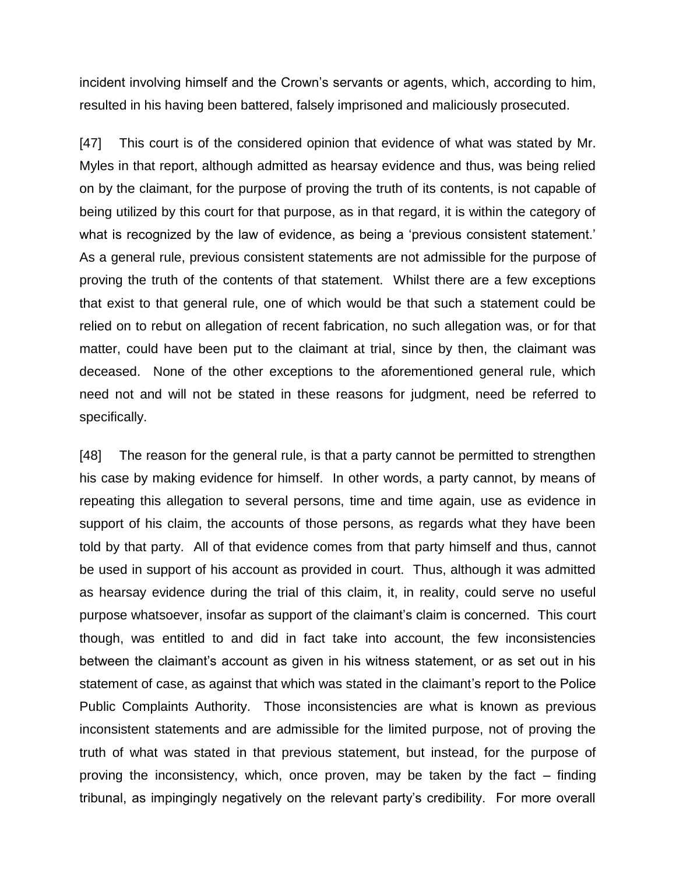incident involving himself and the Crown's servants or agents, which, according to him, resulted in his having been battered, falsely imprisoned and maliciously prosecuted.

[47] This court is of the considered opinion that evidence of what was stated by Mr. Myles in that report, although admitted as hearsay evidence and thus, was being relied on by the claimant, for the purpose of proving the truth of its contents, is not capable of being utilized by this court for that purpose, as in that regard, it is within the category of what is recognized by the law of evidence, as being a 'previous consistent statement.' As a general rule, previous consistent statements are not admissible for the purpose of proving the truth of the contents of that statement. Whilst there are a few exceptions that exist to that general rule, one of which would be that such a statement could be relied on to rebut on allegation of recent fabrication, no such allegation was, or for that matter, could have been put to the claimant at trial, since by then, the claimant was deceased. None of the other exceptions to the aforementioned general rule, which need not and will not be stated in these reasons for judgment, need be referred to specifically.

[48] The reason for the general rule, is that a party cannot be permitted to strengthen his case by making evidence for himself. In other words, a party cannot, by means of repeating this allegation to several persons, time and time again, use as evidence in support of his claim, the accounts of those persons, as regards what they have been told by that party. All of that evidence comes from that party himself and thus, cannot be used in support of his account as provided in court. Thus, although it was admitted as hearsay evidence during the trial of this claim, it, in reality, could serve no useful purpose whatsoever, insofar as support of the claimant's claim is concerned. This court though, was entitled to and did in fact take into account, the few inconsistencies between the claimant's account as given in his witness statement, or as set out in his statement of case, as against that which was stated in the claimant's report to the Police Public Complaints Authority. Those inconsistencies are what is known as previous inconsistent statements and are admissible for the limited purpose, not of proving the truth of what was stated in that previous statement, but instead, for the purpose of proving the inconsistency, which, once proven, may be taken by the fact – finding tribunal, as impingingly negatively on the relevant party's credibility. For more overall